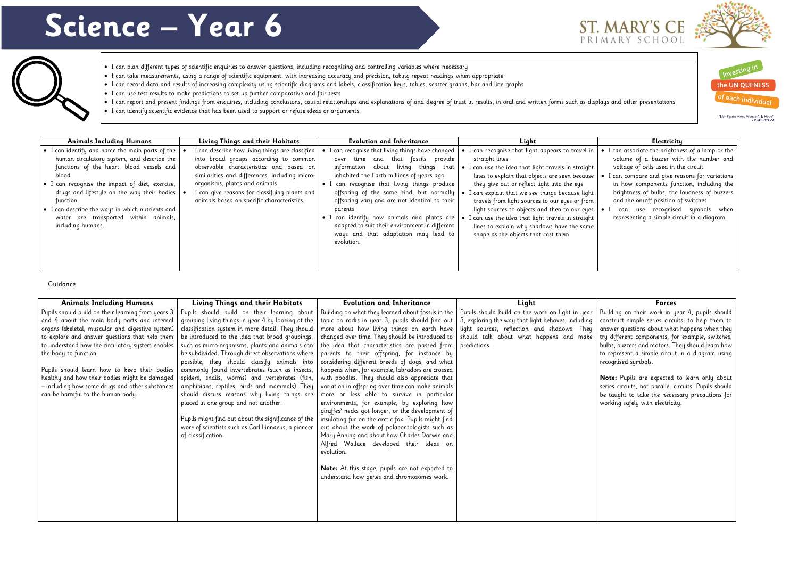- I can plan different types of scientific enquiries to answer questions, including recognising and controlling variables where necessary
- I can take measurements, using a range of scientific equipment, with increasing accuracy and precision, taking repeat readings when appropriate
- I can record data and results of increasing complexity using scientific diagrams and labels, classification keys, tables, scatter graphs, bar and line graphs
- I can use test results to make predictions to set up further comparative and fair tests
- I can report and present findings from enquiries, including conclusions, causal relationships and explanations of and degree of trust in results, in oral and written forms such as displays and other presentations
- I can identify scientific evidence that has been used to support or refute ideas or arguments.

## Guidance

| Pupils should build on the work on light in year<br>Pupils should build on their learning from years 3<br>Pupils should build on their learning about<br>Building on what they learned about fossils in the<br>Building on their work in y<br>and 4 about the main body parts and internal<br>grouping living things in year 4 by looking at the<br>topic on rocks in year 3, pupils should find out<br>3, exploring the way that light behaves, including<br>construct simple series circu<br>organs (skeletal, muscular and digestive system)<br>more about how living things on earth have  <br>light sources, reflection and shadows. They<br>classification system in more detail. They should<br>answer questions about wha<br>should talk about what happens and make<br>be introduced to the idea that broad groupings,<br>changed over time. They should be introduced to<br>to explore and answer questions that help them<br>try different components, fo<br>to understand how the circulatory system enables<br>such as micro-organisms, plants and animals can<br>the idea that characteristics are passed from<br>predictions.<br>bulbs, buzzers and motors. T<br>be subdivided. Through direct observations where<br>parents to their offspring, for instance by<br>the body to function.<br>to represent a simple circuit<br>possible, they should classify animals into<br>considering different breeds of dogs, and what<br>recognised symbols.<br>commonly found invertebrates (such as insects,<br>happens when, for example, labradors are crossed<br>Pupils should learn how to keep their bodies<br>healthy and how their bodies might be damaged<br>spiders, snails, worms) and vertebrates (fish,<br>with poodles. They should also appreciate that<br>Note: Pupils are expected<br>- including how some drugs and other substances<br>variation in offspring over time can make animals<br>amphibians, reptiles, birds and mammals). They<br>series circuits, not parallel c<br>can be harmful to the human body.<br>more or less able to survive in particular<br>should discuss reasons why living things are<br>be taught to take the neces<br>placed in one group and not another.<br>environments, for example, by exploring how<br>working safely with electricit<br>giraffes' necks got longer, or the development of<br>Pupils might find out about the significance of the<br>insulating fur on the arctic fox. Pupils might find<br>work of scientists such as Carl Linnaeus, a pioneer<br>out about the work of palaeontologists such as<br>Mary Anning and about how Charles Darwin and<br>of classification. |
|-----------------------------------------------------------------------------------------------------------------------------------------------------------------------------------------------------------------------------------------------------------------------------------------------------------------------------------------------------------------------------------------------------------------------------------------------------------------------------------------------------------------------------------------------------------------------------------------------------------------------------------------------------------------------------------------------------------------------------------------------------------------------------------------------------------------------------------------------------------------------------------------------------------------------------------------------------------------------------------------------------------------------------------------------------------------------------------------------------------------------------------------------------------------------------------------------------------------------------------------------------------------------------------------------------------------------------------------------------------------------------------------------------------------------------------------------------------------------------------------------------------------------------------------------------------------------------------------------------------------------------------------------------------------------------------------------------------------------------------------------------------------------------------------------------------------------------------------------------------------------------------------------------------------------------------------------------------------------------------------------------------------------------------------------------------------------------------------------------------------------------------------------------------------------------------------------------------------------------------------------------------------------------------------------------------------------------------------------------------------------------------------------------------------------------------------------------------------------------------------------------------------------------------------------------------------------------------------------------------------------------------------------------|
| Alfred Wallace developed their ideas on<br>evolution.<br>Note: At this stage, pupils are not expected to<br>understand how genes and chromosomes work.                                                                                                                                                                                                                                                                                                                                                                                                                                                                                                                                                                                                                                                                                                                                                                                                                                                                                                                                                                                                                                                                                                                                                                                                                                                                                                                                                                                                                                                                                                                                                                                                                                                                                                                                                                                                                                                                                                                                                                                                                                                                                                                                                                                                                                                                                                                                                                                                                                                                                              |





the UNIQUENESS of each individual

"I Am Fearfully And Wonderfully Made"<br>Psalms 139 v14

Building on their work in year 4, pupils should construct simple series circuits, to help them to answer questions about what happens when they try different components, for example, switches, bulbs, buzzers and motors. They should learn how to represent a simple circuit in a diagram using recognised symbols.

**Note:** Pupils are expected to learn only about series circuits, not parallel circuits. Pupils should be taught to take the necessary precautions for working safely with electricity.

| <b>Animals Including Humans</b>                                                                                                                                                                                                                                                                                                                                                                     | Living Things and their Habitats                                                                                                                                                                                                                                                                                      | <b>Evolution and Inheritance</b>                                                                                                                                                                                                                                                                                                                                                                                                                                                        | Light                                                                                                                                                                                                                                                                                                                                                                                                                                                                                                                                       | Electricity                                                                                                                                                                                                                                                    |
|-----------------------------------------------------------------------------------------------------------------------------------------------------------------------------------------------------------------------------------------------------------------------------------------------------------------------------------------------------------------------------------------------------|-----------------------------------------------------------------------------------------------------------------------------------------------------------------------------------------------------------------------------------------------------------------------------------------------------------------------|-----------------------------------------------------------------------------------------------------------------------------------------------------------------------------------------------------------------------------------------------------------------------------------------------------------------------------------------------------------------------------------------------------------------------------------------------------------------------------------------|---------------------------------------------------------------------------------------------------------------------------------------------------------------------------------------------------------------------------------------------------------------------------------------------------------------------------------------------------------------------------------------------------------------------------------------------------------------------------------------------------------------------------------------------|----------------------------------------------------------------------------------------------------------------------------------------------------------------------------------------------------------------------------------------------------------------|
| $\bullet$ I can identify and name the main parts of the $\vert$<br>human circulatory system, and describe the<br>functions of the heart, blood vessels and<br>blood<br>• I can recognise the impact of diet, exercise,<br>drugs and lifestyle on the way their bodies<br>function<br>• I can describe the ways in which nutrients and<br>water are transported within animals,<br>including humans. | I can describe how living things are classified<br>into broad groups according to common<br>observable characteristics and based on<br>similarities and differences, including micro-<br>organisms, plants and animals<br>I can give reasons for classifying plants and<br>animals based on specific characteristics. | • I can recognise that living things have changed<br>over time and that fossils provide<br>information about living things that<br>inhabited the Earth millions of years ago<br>. I can recognise that living things produce<br>offspring of the same kind, but normally<br>offspring vary and are not identical to their<br>parents<br>can identify how animals and plants are<br>adapted to suit their environment in different<br>ways and that adaptation may lead to<br>evolution. | I can recognise that light appears to travel in $\vert$<br>straight lines<br>I can use the idea that light travels in straight<br>lines to explain that objects are seen because<br>they give out or reflect light into the eye<br>$\mathfrak l$ can explain that we see things because light<br>travels from light sources to our eyes or from<br>light sources to objects and then to our eyes<br>I can use the idea that light travels in straight<br>lines to explain why shadows have the same<br>shape as the objects that cast them. | I can associate the brightne<br>volume of a buzzer with<br>voltage of cells used in th<br>I can compare and give red<br>in how components func<br>brightness of bulbs, the l<br>and the on/off position of<br>can use recognised<br>representing a simple circ |

- I can associate the brightness of a lamp or the volume of a buzzer with the number and voltage of cells used in the circuit
- I can compare and give reasons for variations in how components function, including the brightness of bulbs, the loudness of buzzers and the on/off position of switches
- I can use recognised symbols when representing a simple circuit in a diagram.